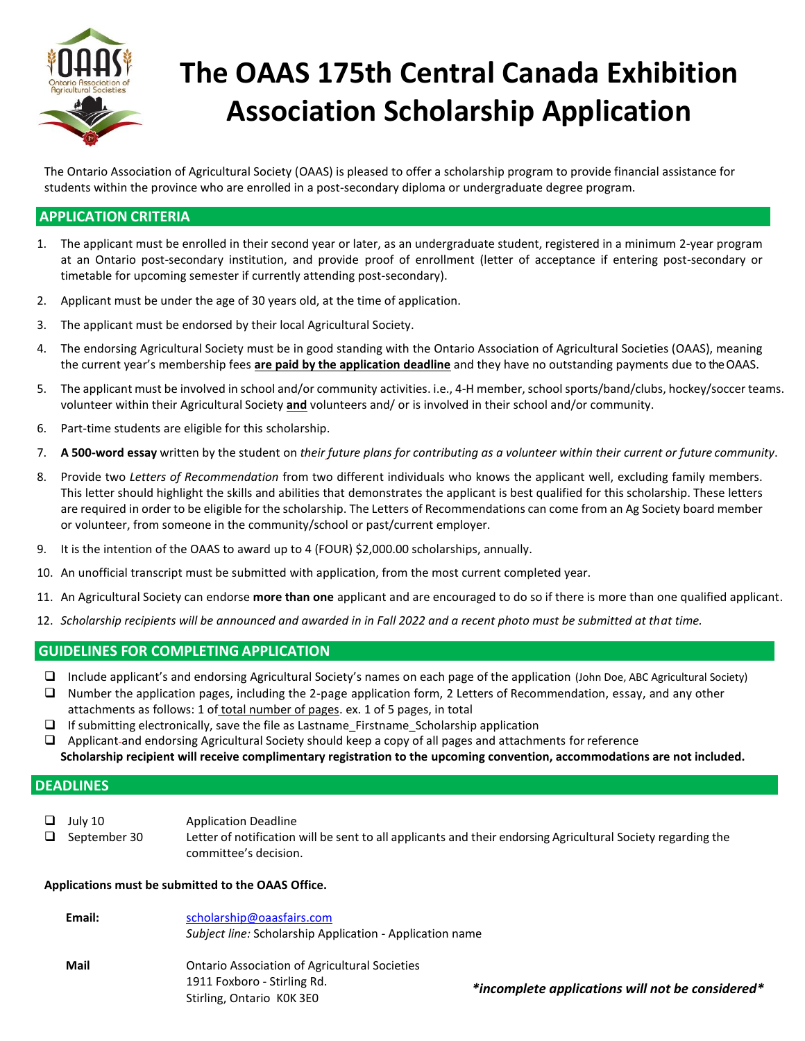

# **The OAAS 175th Central Canada Exhibition Association Scholarship Application**

The Ontario Association of Agricultural Society (OAAS) is pleased to offer a scholarship program to provide financial assistance for students within the province who are enrolled in a post-secondary diploma or undergraduate degree program.

### **APPLICATION CRITERIA**

- 1. The applicant must be enrolled in their second year or later, as an undergraduate student, registered in a minimum 2-year program at an Ontario post-secondary institution, and provide proof of enrollment (letter of acceptance if entering post-secondary or timetable for upcoming semester if currently attending post-secondary).
- 2. Applicant must be under the age of 30 years old, at the time of application.
- 3. The applicant must be endorsed by their local Agricultural Society.
- 4. The endorsing Agricultural Society must be in good standing with the Ontario Association of Agricultural Societies (OAAS), meaning the current year's membership fees **are paid by the application deadline** and they have no outstanding payments due to the OAAS.
- 5. The applicant must be involved in school and/or community activities. i.e., 4-H member, school sports/band/clubs, hockey/soccer teams. volunteer within their Agricultural Society **and** volunteers and/ or is involved in their school and/or community.
- 6. Part-time students are eligible for this scholarship.
- 7. **A 500-word essay** written by the student on *their future plans for contributing as a volunteer within their current or future community*.
- 8. Provide two *Letters of Recommendation* from two different individuals who knows the applicant well, excluding family members. This letter should highlight the skills and abilities that demonstrates the applicant is best qualified for this scholarship. These letters are required in order to be eligible for the scholarship. The Letters of Recommendations can come from an Ag Society board member or volunteer, from someone in the community/school or past/current employer.
- 9. It is the intention of the OAAS to award up to 4 (FOUR) \$2,000.00 scholarships, annually.
- 10. An unofficial transcript must be submitted with application, from the most current completed year.
- 11. An Agricultural Society can endorse **more than one** applicant and are encouraged to do so if there is more than one qualified applicant.
- 12. *Scholarship recipients will be announced and awarded in in Fall 2022 and a recent photo must be submitted at that time.*

### **GUIDELINES FOR COMPLETING APPLICATION**

- ❑ Include applicant's and endorsing Agricultural Society's names on each page of the application (John Doe, ABC Agricultural Society)
- ❑ Number the application pages, including the 2-page application form, 2 Letters of Recommendation, essay, and any other attachments as follows: 1 of total number of pages. ex. 1 of 5 pages, in total
- $\Box$  If submitting electronically, save the file as Lastname Firstname Scholarship application
- ❑ Applicant and endorsing Agricultural Society should keep a copy of all pages and attachments forreference
- **Scholarship recipient will receive complimentary registration to the upcoming convention, accommodations are not included.**

### **DEADLINES**

- ❑ July 10 Application Deadline
- ❑ September 30 Letter of notification will be sent to all applicants and their endorsing Agricultural Society regarding the committee's decision.

#### **Applications must be submitted to the OAAS Office.**

| Email: | scholarship@oaasfairs.com<br>Subject line: Scholarship Application - Application name                            |                                                  |
|--------|------------------------------------------------------------------------------------------------------------------|--------------------------------------------------|
| Mail   | <b>Ontario Association of Agricultural Societies</b><br>1911 Foxboro - Stirling Rd.<br>Stirling, Ontario KOK 3EO | *incomplete applications will not be considered* |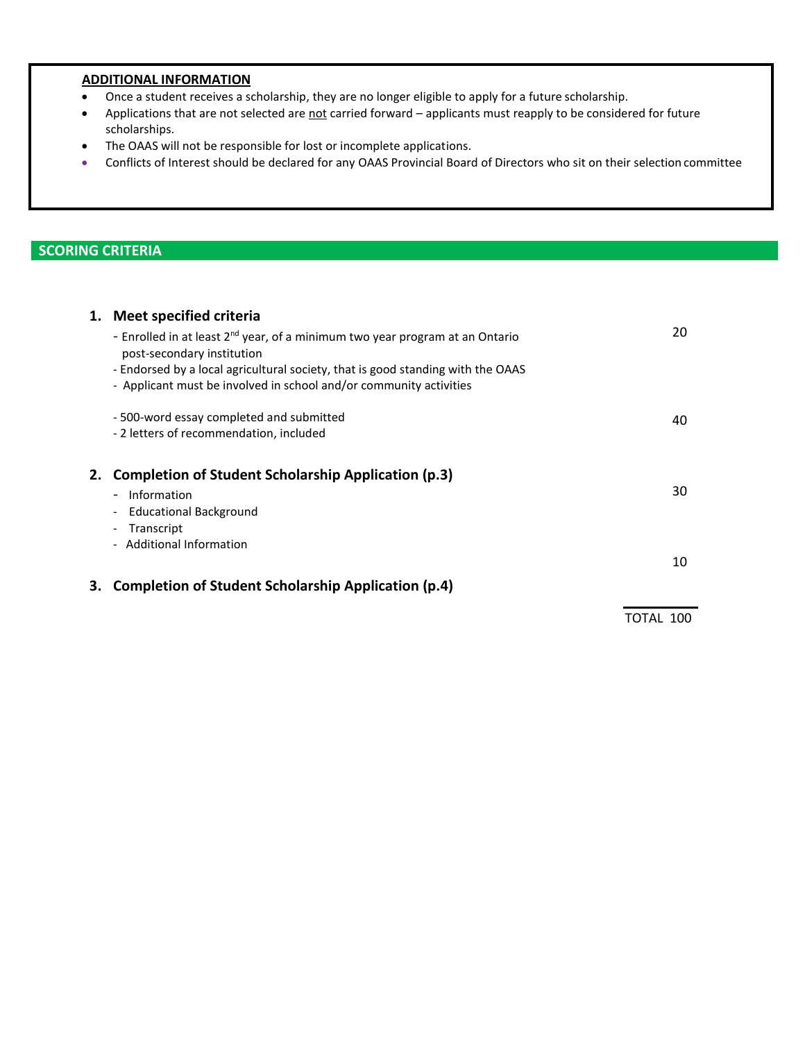### **ADDITIONAL INFORMATION**

- Once a student receives a scholarship, they are no longer eligible to apply for a future scholarship.
- Applications that are not selected are not carried forward applicants must reapply to be considered for future scholarships.
- The OAAS will not be responsible for lost or incomplete applications.
- Conflicts of Interest should be declared for any OAAS Provincial Board of Directors who sit on their selection committee

## **SCORING CRITERIA**

|    | 1. Meet specified criteria                                                                                             |    |
|----|------------------------------------------------------------------------------------------------------------------------|----|
|    | - Enrolled in at least 2 <sup>nd</sup> year, of a minimum two year program at an Ontario<br>post-secondary institution | 20 |
|    | - Endorsed by a local agricultural society, that is good standing with the OAAS                                        |    |
|    | - Applicant must be involved in school and/or community activities                                                     |    |
|    | -500-word essay completed and submitted                                                                                | 40 |
|    | -2 letters of recommendation, included                                                                                 |    |
| 2. | <b>Completion of Student Scholarship Application (p.3)</b>                                                             |    |
|    | - Information                                                                                                          | 30 |
|    | <b>Educational Background</b>                                                                                          |    |
|    | - Transcript                                                                                                           |    |
|    | - Additional Information                                                                                               | 10 |
|    |                                                                                                                        |    |
| 3. | Completion of Student Scholarship Application (p.4)                                                                    |    |
|    |                                                                                                                        |    |

TOTAL 100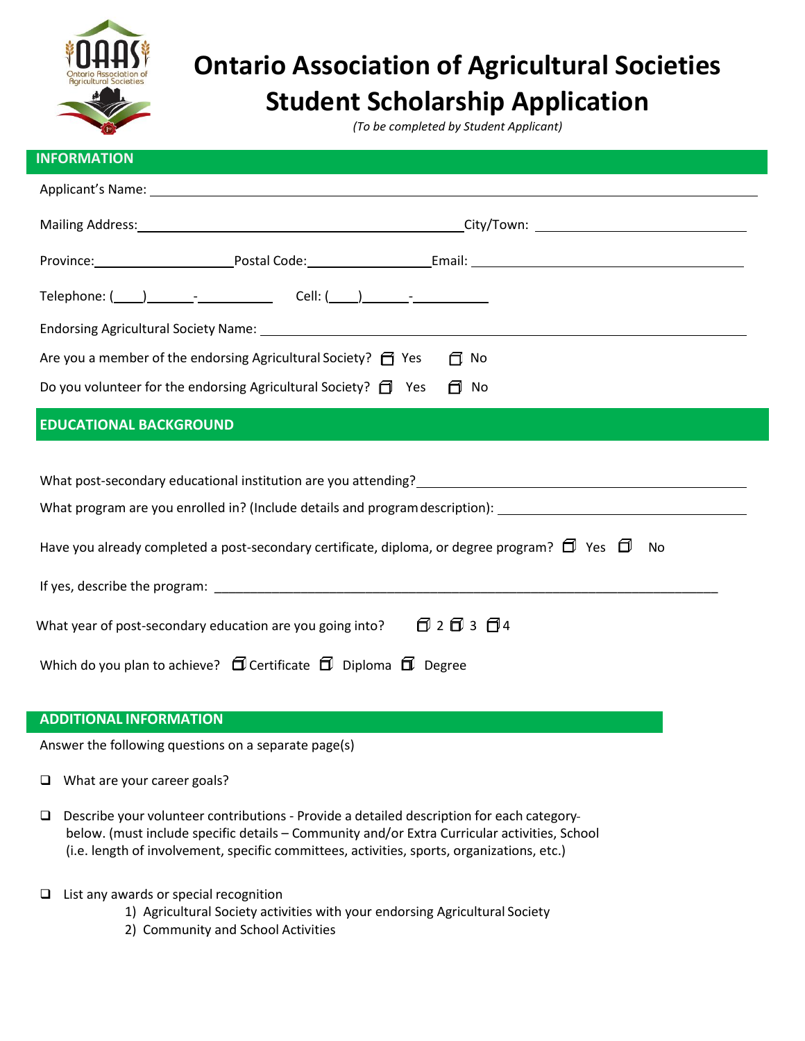

# **Ontario Association of Agricultural Societies Student Scholarship Application**

*(To be completed by Student Applicant)*

| <b>INFORMATION</b>                                                                                                                                                                                                             |  |  |
|--------------------------------------------------------------------------------------------------------------------------------------------------------------------------------------------------------------------------------|--|--|
| Applicant's Name: 1988 Contract Contract Contract Contract Contract Contract Contract Contract Contract Contract Contract Contract Contract Contract Contract Contract Contract Contract Contract Contract Contract Contract C |  |  |
|                                                                                                                                                                                                                                |  |  |
| Province: Province: Postal Code: Postal Code: Email: Province: Province: Province:                                                                                                                                             |  |  |
|                                                                                                                                                                                                                                |  |  |
|                                                                                                                                                                                                                                |  |  |
| Are you a member of the endorsing Agricultural Society? $\Box$ Yes<br>∩ No                                                                                                                                                     |  |  |
| Do you volunteer for the endorsing Agricultural Society? $\Box$ Yes<br>日 No                                                                                                                                                    |  |  |
| <b>EDUCATIONAL BACKGROUND</b>                                                                                                                                                                                                  |  |  |
|                                                                                                                                                                                                                                |  |  |
| What post-secondary educational institution are you attending?<br>What post-secondary educational institution are you attending?                                                                                               |  |  |
| What program are you enrolled in? (Include details and program description): _________________________________                                                                                                                 |  |  |
| Have you already completed a post-secondary certificate, diploma, or degree program? $\Box$ Yes $\Box$<br>No                                                                                                                   |  |  |

| If yes, describe the program:                                                 |                       |
|-------------------------------------------------------------------------------|-----------------------|
|                                                                               |                       |
| What year of post-secondary education are you going into?                     | បី 2 បី 3 <b>បី</b> 4 |
| Which do you plan to achieve? $\Box$ Certificate $\Box$ Diploma $\Box$ Degree |                       |

### **ADDITIONAL INFORMATION**

Answer the following questions on a separate page(s)

- ❑ What are your career goals?
- ❑ Describe your volunteer contributions Provide a detailed description for each category below. (must include specific details – Community and/or Extra Curricular activities, School (i.e. length of involvement, specific committees, activities, sports, organizations, etc.)
- ❑ List any awards or special recognition
	- 1) Agricultural Society activities with your endorsing Agricultural Society
	- 2) Community and School Activities